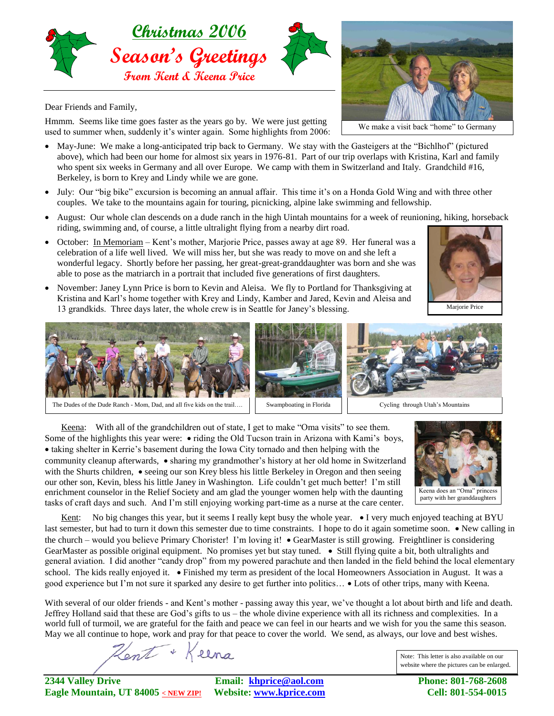



Hmmm. Seems like time goes faster as the years go by. We were just getting used to summer when, suddenly it's winter again. Some highlights from 2006:

- May-June: We make a long-anticipated trip back to Germany. We stay with the Gasteigers at the "Bichlhof" (pictured above), which had been our home for almost six years in 1976-81. Part of our trip overlaps with Kristina, Karl and family who spent six weeks in Germany and all over Europe. We camp with them in Switzerland and Italy. Grandchild #16, Berkeley, is born to Krey and Lindy while we are gone.
- July: Our "big bike" excursion is becoming an annual affair. This time it's on a Honda Gold Wing and with three other couples. We take to the mountains again for touring, picnicking, alpine lake swimming and fellowship.
- August: Our whole clan descends on a dude ranch in the high Uintah mountains for a week of reunioning, hiking, horseback riding, swimming and, of course, a little ultralight flying from a nearby dirt road.
- October: In Memoriam Kent's mother, Marjorie Price, passes away at age 89. Her funeral was a celebration of a life well lived. We will miss her, but she was ready to move on and she left a wonderful legacy. Shortly before her passing, her great-great-granddaughter was born and she was able to pose as the matriarch in a portrait that included five generations of first daughters.
- November: Janey Lynn Price is born to Kevin and Aleisa. We fly to Portland for Thanksgiving at Kristina and Karl's home together with Krey and Lindy, Kamber and Jared, Kevin and Aleisa and 13 grandkids. Three days later, the whole crew is in Seattle for Janey's blessing.



Keena: With all of the grandchildren out of state, I get to make "Oma visits" to see them. Some of the highlights this year were:  $\bullet$  riding the Old Tucson train in Arizona with Kami's boys, taking shelter in Kerrie's basement during the Iowa City tornado and then helping with the community cleanup afterwards, • sharing my grandmother's history at her old home in Switzerland with the Shurts children,  $\bullet$  seeing our son Krey bless his little Berkeley in Oregon and then seeing our other son, Kevin, bless his little Janey in Washington. Life couldn't get much better! I'm still enrichment counselor in the Relief Society and am glad the younger women help with the daunting tasks of craft days and such. And I'm still enjoying working part-time as a nurse at the care center.



Marjorie Price

party with her granddaughters

Kent: No big changes this year, but it seems I really kept busy the whole year.  $\bullet$  I very much enjoyed teaching at BYU last semester, but had to turn it down this semester due to time constraints. I hope to do it again sometime soon. • New calling in the church – would you believe Primary Chorister! I'm loving it!  $\bullet$  GearMaster is still growing. Freightliner is considering GearMaster as possible original equipment. No promises yet but stay tuned.  $\bullet$  Still flying quite a bit, both ultralights and general aviation. I did another "candy drop" from my powered parachute and then landed in the field behind the local elementary school. The kids really enjoyed it. • Finished my term as president of the local Homeowners Association in August. It was a good experience but I'm not sure it sparked any desire to get further into politics... • Lots of other trips, many with Keena.

With several of our older friends - and Kent's mother - passing away this year, we've thought a lot about birth and life and death. Jeffrey Holland said that these are God's gifts to us – the whole divine experience with all its richness and complexities. In a world full of turmoil, we are grateful for the faith and peace we can feel in our hearts and we wish for you the same this season. May we all continue to hope, work and pray for that peace to cover the world. We send, as always, our love and best wishes.

Hent +

**2344 Valley Drive Email: [khprice@aol.com](mailto:khprice@aol.com) Phone: 801-768-2608 Eagle Mountain, UT 84005 < NEW ZIP! Website[: www.kprice.com](http://www.kprice.com/) Cell: 801-554-0015**

Note: This letter is also available on our website where the pictures can be enlarged.